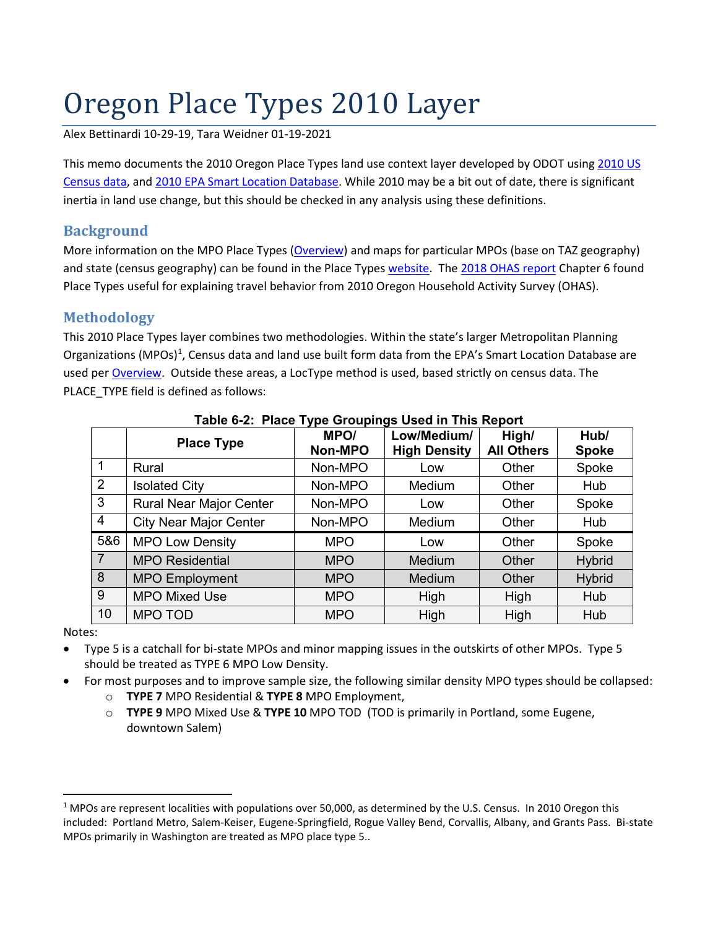# Oregon Place Types 2010 Layer

Alex Bettinardi 10-29-19, Tara Weidner 01-19-2021

This memo documents the 2010 Oregon Place Types land use context layer developed by ODOT usin[g 2010 US](https://www.census.gov/programs-surveys/decennial-census/guidance/2010.html)  [Census data,](https://www.census.gov/programs-surveys/decennial-census/guidance/2010.html) and [2010 EPA Smart Location Database.](https://edg.epa.gov/metadata/catalog/search/resource/details.page?uuid=%7BBCE98875-BED3-4911-8BEA-32220B3E15E7%7D) While 2010 may be a bit out of date, there is significant inertia in land use change, but this should be checked in any analysis using these definitions.

## **Background**

More information on the MPO Place Types [\(Overview\)](https://www.oregon.gov/ODOT/Planning/PTVSV/PlaceType_Flyer.pdf) and maps for particular MPOs (base on TAZ geography) and state (census geography) can be found in the Place Types [website.](https://www.oregon.gov/lcd/CL/Pages/Place-Types.aspx) The [2018 OHAS report](https://www.oregon.gov/ODOT/Planning/Documents/OHAS-Daily-Travel-In-Oregon-Report.pdf) Chapter 6 found Place Types useful for explaining travel behavior from 2010 Oregon Household Activity Survey (OHAS).

## **Methodology**

This 2010 Place Types layer combines two methodologies. Within the state's larger Metropolitan Planning Organizations (MPOs)<sup>[1](#page-0-0)</sup>, Census data and land use built form data from the EPA's Smart Location Database are used pe[r Overview.](https://www.oregon.gov/ODOT/Planning/PTVSV/PlaceType_Flyer.pdf) Outside these areas, a LocType method is used, based strictly on census data. The PLACE\_TYPE field is defined as follows:

|                | <b>Place Type</b>              | J 1 -<br>MPO/<br>Non-MPO | Low/Medium/<br><b>High Density</b> | High/<br><b>All Others</b> | Hub/<br><b>Spoke</b> |
|----------------|--------------------------------|--------------------------|------------------------------------|----------------------------|----------------------|
| -1             | Rural                          | Non-MPO                  | Low                                | Other                      | Spoke                |
| $\overline{2}$ | <b>Isolated City</b>           | Non-MPO                  | Medium                             | Other                      | Hub                  |
| 3              | <b>Rural Near Major Center</b> | Non-MPO                  | Low                                | Other                      | Spoke                |
| $\overline{4}$ | <b>City Near Major Center</b>  | Non-MPO                  | Medium                             | Other                      | Hub                  |
| 5&6            | <b>MPO Low Density</b>         | <b>MPO</b>               | Low                                | Other                      | Spoke                |
| $\overline{7}$ | <b>MPO Residential</b>         | <b>MPO</b>               | Medium                             | Other                      | <b>Hybrid</b>        |
| 8              | <b>MPO Employment</b>          | <b>MPO</b>               | Medium                             | Other                      | <b>Hybrid</b>        |
| 9              | <b>MPO Mixed Use</b>           | <b>MPO</b>               | High                               | High                       | Hub                  |
| 10             | MPO TOD                        | <b>MPO</b>               | High                               | High                       | Hub                  |

#### **Table 6-2: Place Type Groupings Used in This Report**

Notes:

- Type 5 is a catchall for bi-state MPOs and minor mapping issues in the outskirts of other MPOs. Type 5 should be treated as TYPE 6 MPO Low Density.
- For most purposes and to improve sample size, the following similar density MPO types should be collapsed:
	- o **TYPE 7** MPO Residential & **TYPE 8** MPO Employment,
	- o **TYPE 9** MPO Mixed Use & **TYPE 10** MPO TOD (TOD is primarily in Portland, some Eugene, downtown Salem)

<span id="page-0-0"></span><sup>&</sup>lt;sup>1</sup> MPOs are represent localities with populations over 50,000, as determined by the U.S. Census. In 2010 Oregon this included: Portland Metro, Salem-Keiser, Eugene-Springfield, Rogue Valley Bend, Corvallis, Albany, and Grants Pass. Bi-state MPOs primarily in Washington are treated as MPO place type 5..